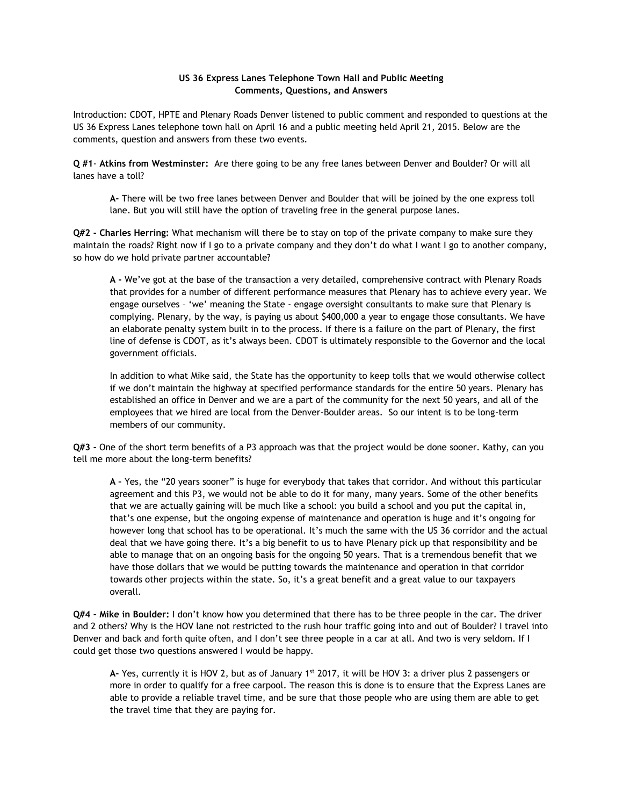## **US 36 Express Lanes Telephone Town Hall and Public Meeting Comments, Questions, and Answers**

Introduction: CDOT, HPTE and Plenary Roads Denver listened to public comment and responded to questions at the US 36 Express Lanes telephone town hall on April 16 and a public meeting held April 21, 2015. Below are the comments, question and answers from these two events.

**Q #1**- **Atkins from Westminster:** Are there going to be any free lanes between Denver and Boulder? Or will all lanes have a toll?

**A-** There will be two free lanes between Denver and Boulder that will be joined by the one express toll lane. But you will still have the option of traveling free in the general purpose lanes.

**Q#2 - Charles Herring:** What mechanism will there be to stay on top of the private company to make sure they maintain the roads? Right now if I go to a private company and they don't do what I want I go to another company, so how do we hold private partner accountable?

**A -** We've got at the base of the transaction a very detailed, comprehensive contract with Plenary Roads that provides for a number of different performance measures that Plenary has to achieve every year. We engage ourselves – 'we' meaning the State - engage oversight consultants to make sure that Plenary is complying. Plenary, by the way, is paying us about \$400,000 a year to engage those consultants. We have an elaborate penalty system built in to the process. If there is a failure on the part of Plenary, the first line of defense is CDOT, as it's always been. CDOT is ultimately responsible to the Governor and the local government officials.

In addition to what Mike said, the State has the opportunity to keep tolls that we would otherwise collect if we don't maintain the highway at specified performance standards for the entire 50 years. Plenary has established an office in Denver and we are a part of the community for the next 50 years, and all of the employees that we hired are local from the Denver-Boulder areas. So our intent is to be long-term members of our community.

**Q#3 -** One of the short term benefits of a P3 approach was that the project would be done sooner. Kathy, can you tell me more about the long-term benefits?

**A –** Yes, the "20 years sooner" is huge for everybody that takes that corridor. And without this particular agreement and this P3, we would not be able to do it for many, many years. Some of the other benefits that we are actually gaining will be much like a school: you build a school and you put the capital in, that's one expense, but the ongoing expense of maintenance and operation is huge and it's ongoing for however long that school has to be operational. It's much the same with the US 36 corridor and the actual deal that we have going there. It's a big benefit to us to have Plenary pick up that responsibility and be able to manage that on an ongoing basis for the ongoing 50 years. That is a tremendous benefit that we have those dollars that we would be putting towards the maintenance and operation in that corridor towards other projects within the state. So, it's a great benefit and a great value to our taxpayers overall.

**Q#4 - Mike in Boulder:** I don't know how you determined that there has to be three people in the car. The driver and 2 others? Why is the HOV lane not restricted to the rush hour traffic going into and out of Boulder? I travel into Denver and back and forth quite often, and I don't see three people in a car at all. And two is very seldom. If I could get those two questions answered I would be happy.

**A-** Yes, currently it is HOV 2, but as of January 1st 2017, it will be HOV 3: a driver plus 2 passengers or more in order to qualify for a free carpool. The reason this is done is to ensure that the Express Lanes are able to provide a reliable travel time, and be sure that those people who are using them are able to get the travel time that they are paying for.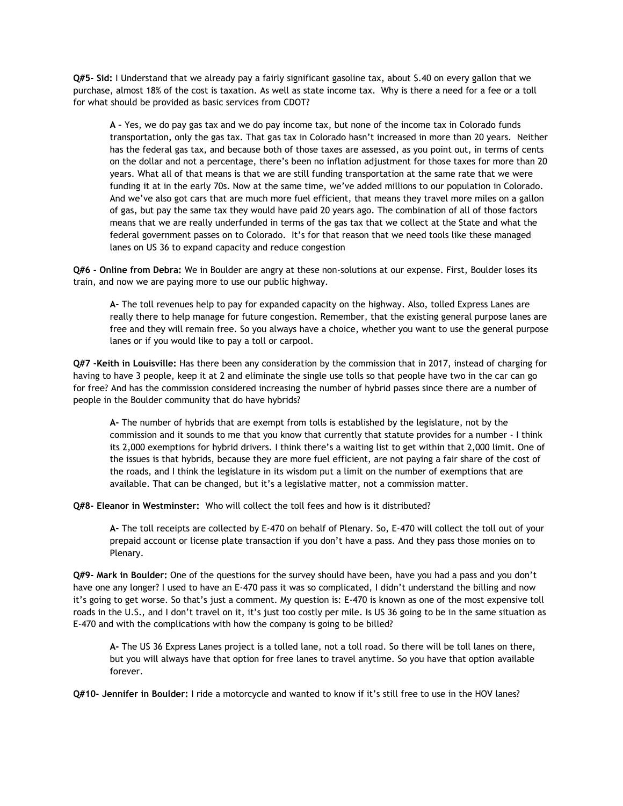**Q#5- Sid:** I Understand that we already pay a fairly significant gasoline tax, about \$.40 on every gallon that we purchase, almost 18% of the cost is taxation. As well as state income tax. Why is there a need for a fee or a toll for what should be provided as basic services from CDOT?

**A –** Yes, we do pay gas tax and we do pay income tax, but none of the income tax in Colorado funds transportation, only the gas tax. That gas tax in Colorado hasn't increased in more than 20 years. Neither has the federal gas tax, and because both of those taxes are assessed, as you point out, in terms of cents on the dollar and not a percentage, there's been no inflation adjustment for those taxes for more than 20 years. What all of that means is that we are still funding transportation at the same rate that we were funding it at in the early 70s. Now at the same time, we've added millions to our population in Colorado. And we've also got cars that are much more fuel efficient, that means they travel more miles on a gallon of gas, but pay the same tax they would have paid 20 years ago. The combination of all of those factors means that we are really underfunded in terms of the gas tax that we collect at the State and what the federal government passes on to Colorado. It's for that reason that we need tools like these managed lanes on US 36 to expand capacity and reduce congestion

**Q#6 - Online from Debra:** We in Boulder are angry at these non-solutions at our expense. First, Boulder loses its train, and now we are paying more to use our public highway.

**A-** The toll revenues help to pay for expanded capacity on the highway. Also, tolled Express Lanes are really there to help manage for future congestion. Remember, that the existing general purpose lanes are free and they will remain free. So you always have a choice, whether you want to use the general purpose lanes or if you would like to pay a toll or carpool.

**Q#7 -Keith in Louisville:** Has there been any consideration by the commission that in 2017, instead of charging for having to have 3 people, keep it at 2 and eliminate the single use tolls so that people have two in the car can go for free? And has the commission considered increasing the number of hybrid passes since there are a number of people in the Boulder community that do have hybrids?

**A-** The number of hybrids that are exempt from tolls is established by the legislature, not by the commission and it sounds to me that you know that currently that statute provides for a number - I think its 2,000 exemptions for hybrid drivers. I think there's a waiting list to get within that 2,000 limit. One of the issues is that hybrids, because they are more fuel efficient, are not paying a fair share of the cost of the roads, and I think the legislature in its wisdom put a limit on the number of exemptions that are available. That can be changed, but it's a legislative matter, not a commission matter.

**Q#8- Eleanor in Westminster:** Who will collect the toll fees and how is it distributed?

**A-** The toll receipts are collected by E-470 on behalf of Plenary. So, E-470 will collect the toll out of your prepaid account or license plate transaction if you don't have a pass. And they pass those monies on to Plenary.

**Q#9- Mark in Boulder:** One of the questions for the survey should have been, have you had a pass and you don't have one any longer? I used to have an E-470 pass it was so complicated, I didn't understand the billing and now it's going to get worse. So that's just a comment. My question is: E-470 is known as one of the most expensive toll roads in the U.S., and I don't travel on it, it's just too costly per mile. Is US 36 going to be in the same situation as E-470 and with the complications with how the company is going to be billed?

**A-** The US 36 Express Lanes project is a tolled lane, not a toll road. So there will be toll lanes on there, but you will always have that option for free lanes to travel anytime. So you have that option available forever.

**Q#10- Jennifer in Boulder:** I ride a motorcycle and wanted to know if it's still free to use in the HOV lanes?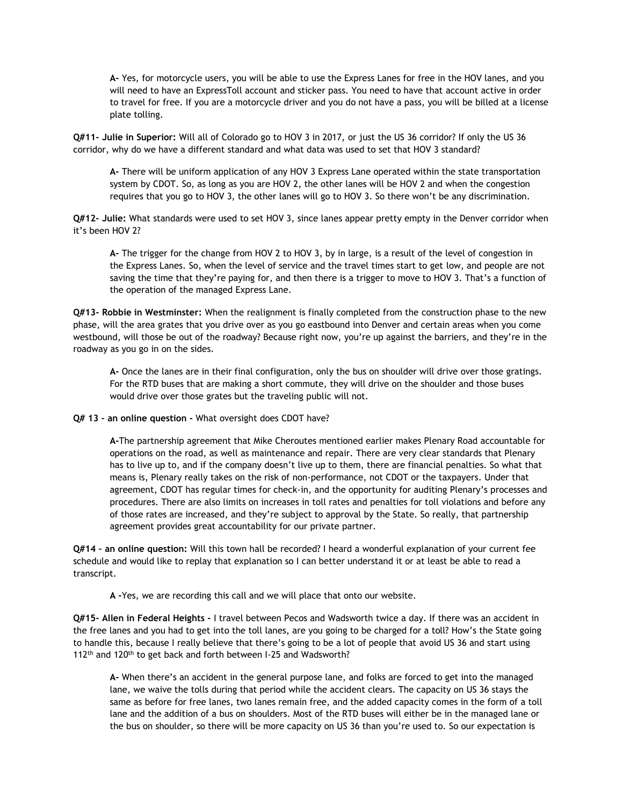**A-** Yes, for motorcycle users, you will be able to use the Express Lanes for free in the HOV lanes, and you will need to have an ExpressToll account and sticker pass. You need to have that account active in order to travel for free. If you are a motorcycle driver and you do not have a pass, you will be billed at a license plate tolling.

**Q#11- Julie in Superior:** Will all of Colorado go to HOV 3 in 2017, or just the US 36 corridor? If only the US 36 corridor, why do we have a different standard and what data was used to set that HOV 3 standard?

**A-** There will be uniform application of any HOV 3 Express Lane operated within the state transportation system by CDOT. So, as long as you are HOV 2, the other lanes will be HOV 2 and when the congestion requires that you go to HOV 3, the other lanes will go to HOV 3. So there won't be any discrimination.

**Q#12- Julie:** What standards were used to set HOV 3, since lanes appear pretty empty in the Denver corridor when it's been HOV 2?

**A-** The trigger for the change from HOV 2 to HOV 3, by in large, is a result of the level of congestion in the Express Lanes. So, when the level of service and the travel times start to get low, and people are not saving the time that they're paying for, and then there is a trigger to move to HOV 3. That's a function of the operation of the managed Express Lane.

**Q#13- Robbie in Westminster:** When the realignment is finally completed from the construction phase to the new phase, will the area grates that you drive over as you go eastbound into Denver and certain areas when you come westbound, will those be out of the roadway? Because right now, you're up against the barriers, and they're in the roadway as you go in on the sides.

**A-** Once the lanes are in their final configuration, only the bus on shoulder will drive over those gratings. For the RTD buses that are making a short commute, they will drive on the shoulder and those buses would drive over those grates but the traveling public will not.

**Q# 13 – an online question -** What oversight does CDOT have?

**A-**The partnership agreement that Mike Cheroutes mentioned earlier makes Plenary Road accountable for operations on the road, as well as maintenance and repair. There are very clear standards that Plenary has to live up to, and if the company doesn't live up to them, there are financial penalties. So what that means is, Plenary really takes on the risk of non-performance, not CDOT or the taxpayers. Under that agreement, CDOT has regular times for check-in, and the opportunity for auditing Plenary's processes and procedures. There are also limits on increases in toll rates and penalties for toll violations and before any of those rates are increased, and they're subject to approval by the State. So really, that partnership agreement provides great accountability for our private partner.

**Q#14 – an online question:** Will this town hall be recorded? I heard a wonderful explanation of your current fee schedule and would like to replay that explanation so I can better understand it or at least be able to read a transcript.

**A -**Yes, we are recording this call and we will place that onto our website.

**Q#15- Allen in Federal Heights -** I travel between Pecos and Wadsworth twice a day. If there was an accident in the free lanes and you had to get into the toll lanes, are you going to be charged for a toll? How's the State going to handle this, because I really believe that there's going to be a lot of people that avoid US 36 and start using 112<sup>th</sup> and 120<sup>th</sup> to get back and forth between I-25 and Wadsworth?

**A-** When there's an accident in the general purpose lane, and folks are forced to get into the managed lane, we waive the tolls during that period while the accident clears. The capacity on US 36 stays the same as before for free lanes, two lanes remain free, and the added capacity comes in the form of a toll lane and the addition of a bus on shoulders. Most of the RTD buses will either be in the managed lane or the bus on shoulder, so there will be more capacity on US 36 than you're used to. So our expectation is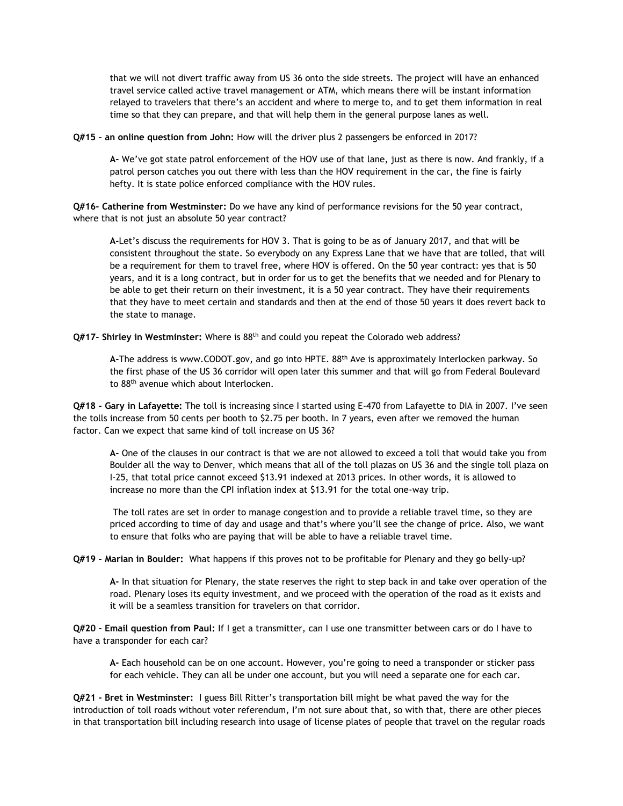that we will not divert traffic away from US 36 onto the side streets. The project will have an enhanced travel service called active travel management or ATM, which means there will be instant information relayed to travelers that there's an accident and where to merge to, and to get them information in real time so that they can prepare, and that will help them in the general purpose lanes as well.

**Q#15 – an online question from John:** How will the driver plus 2 passengers be enforced in 2017?

**A-** We've got state patrol enforcement of the HOV use of that lane, just as there is now. And frankly, if a patrol person catches you out there with less than the HOV requirement in the car, the fine is fairly hefty. It is state police enforced compliance with the HOV rules.

**Q#16- Catherine from Westminster:** Do we have any kind of performance revisions for the 50 year contract, where that is not just an absolute 50 year contract?

**A-**Let's discuss the requirements for HOV 3. That is going to be as of January 2017, and that will be consistent throughout the state. So everybody on any Express Lane that we have that are tolled, that will be a requirement for them to travel free, where HOV is offered. On the 50 year contract: yes that is 50 years, and it is a long contract, but in order for us to get the benefits that we needed and for Plenary to be able to get their return on their investment, it is a 50 year contract. They have their requirements that they have to meet certain and standards and then at the end of those 50 years it does revert back to the state to manage.

**Q#17- Shirley in Westminster:** Where is 88th and could you repeat the Colorado web address?

**A-**The address is www.CODOT.gov, and go into HPTE. 88th Ave is approximately Interlocken parkway. So the first phase of the US 36 corridor will open later this summer and that will go from Federal Boulevard to 88<sup>th</sup> avenue which about Interlocken.

**Q#18 - Gary in Lafayette:** The toll is increasing since I started using E-470 from Lafayette to DIA in 2007. I've seen the tolls increase from 50 cents per booth to \$2.75 per booth. In 7 years, even after we removed the human factor. Can we expect that same kind of toll increase on US 36?

**A-** One of the clauses in our contract is that we are not allowed to exceed a toll that would take you from Boulder all the way to Denver, which means that all of the toll plazas on US 36 and the single toll plaza on I-25, that total price cannot exceed \$13.91 indexed at 2013 prices. In other words, it is allowed to increase no more than the CPI inflation index at \$13.91 for the total one-way trip.

The toll rates are set in order to manage congestion and to provide a reliable travel time, so they are priced according to time of day and usage and that's where you'll see the change of price. Also, we want to ensure that folks who are paying that will be able to have a reliable travel time.

**Q#19 - Marian in Boulder:** What happens if this proves not to be profitable for Plenary and they go belly-up?

**A-** In that situation for Plenary, the state reserves the right to step back in and take over operation of the road. Plenary loses its equity investment, and we proceed with the operation of the road as it exists and it will be a seamless transition for travelers on that corridor.

**Q#20 - Email question from Paul:** If I get a transmitter, can I use one transmitter between cars or do I have to have a transponder for each car?

**A-** Each household can be on one account. However, you're going to need a transponder or sticker pass for each vehicle. They can all be under one account, but you will need a separate one for each car.

**Q#21 - Bret in Westminster:** I guess Bill Ritter's transportation bill might be what paved the way for the introduction of toll roads without voter referendum, I'm not sure about that, so with that, there are other pieces in that transportation bill including research into usage of license plates of people that travel on the regular roads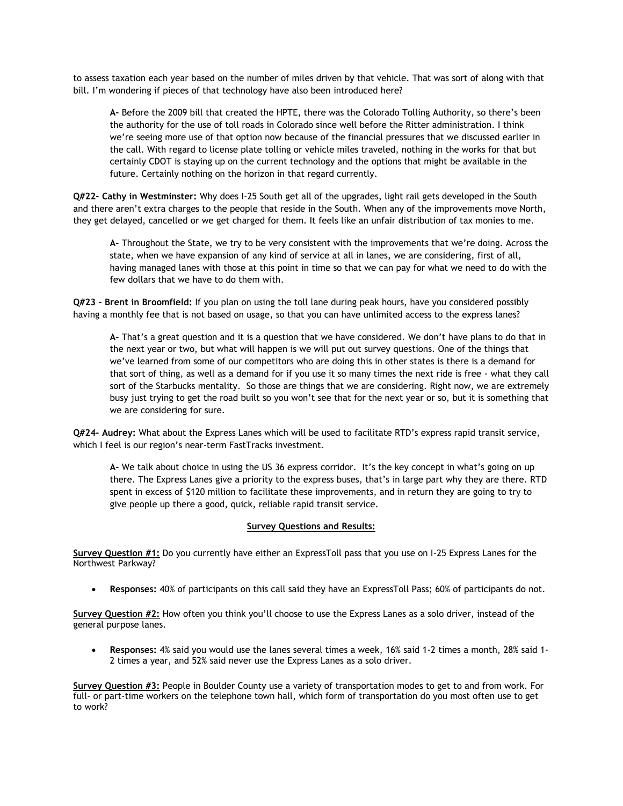to assess taxation each year based on the number of miles driven by that vehicle. That was sort of along with that bill. I'm wondering if pieces of that technology have also been introduced here?

**A-** Before the 2009 bill that created the HPTE, there was the Colorado Tolling Authority, so there's been the authority for the use of toll roads in Colorado since well before the Ritter administration. I think we're seeing more use of that option now because of the financial pressures that we discussed earlier in the call. With regard to license plate tolling or vehicle miles traveled, nothing in the works for that but certainly CDOT is staying up on the current technology and the options that might be available in the future. Certainly nothing on the horizon in that regard currently.

**Q#22- Cathy in Westminster:** Why does I-25 South get all of the upgrades, light rail gets developed in the South and there aren't extra charges to the people that reside in the South. When any of the improvements move North, they get delayed, cancelled or we get charged for them. It feels like an unfair distribution of tax monies to me.

**A-** Throughout the State, we try to be very consistent with the improvements that we're doing. Across the state, when we have expansion of any kind of service at all in lanes, we are considering, first of all, having managed lanes with those at this point in time so that we can pay for what we need to do with the few dollars that we have to do them with.

**Q#23 - Brent in Broomfield:** If you plan on using the toll lane during peak hours, have you considered possibly having a monthly fee that is not based on usage, so that you can have unlimited access to the express lanes?

**A-** That's a great question and it is a question that we have considered. We don't have plans to do that in the next year or two, but what will happen is we will put out survey questions. One of the things that we've learned from some of our competitors who are doing this in other states is there is a demand for that sort of thing, as well as a demand for if you use it so many times the next ride is free - what they call sort of the Starbucks mentality. So those are things that we are considering. Right now, we are extremely busy just trying to get the road built so you won't see that for the next year or so, but it is something that we are considering for sure.

**Q#24- Audrey:** What about the Express Lanes which will be used to facilitate RTD's express rapid transit service, which I feel is our region's near-term FastTracks investment.

**A-** We talk about choice in using the US 36 express corridor. It's the key concept in what's going on up there. The Express Lanes give a priority to the express buses, that's in large part why they are there. RTD spent in excess of \$120 million to facilitate these improvements, and in return they are going to try to give people up there a good, quick, reliable rapid transit service.

#### **Survey Questions and Results:**

**Survey Question #1:** Do you currently have either an ExpressToll pass that you use on I-25 Express Lanes for the Northwest Parkway?

**Responses:** 40% of participants on this call said they have an ExpressToll Pass; 60% of participants do not.

**Survey Question #2:** How often you think you'll choose to use the Express Lanes as a solo driver, instead of the general purpose lanes.

 **Responses:** 4% said you would use the lanes several times a week, 16% said 1-2 times a month, 28% said 1- 2 times a year, and 52% said never use the Express Lanes as a solo driver.

**Survey Question #3:** People in Boulder County use a variety of transportation modes to get to and from work. For full- or part-time workers on the telephone town hall, which form of transportation do you most often use to get to work?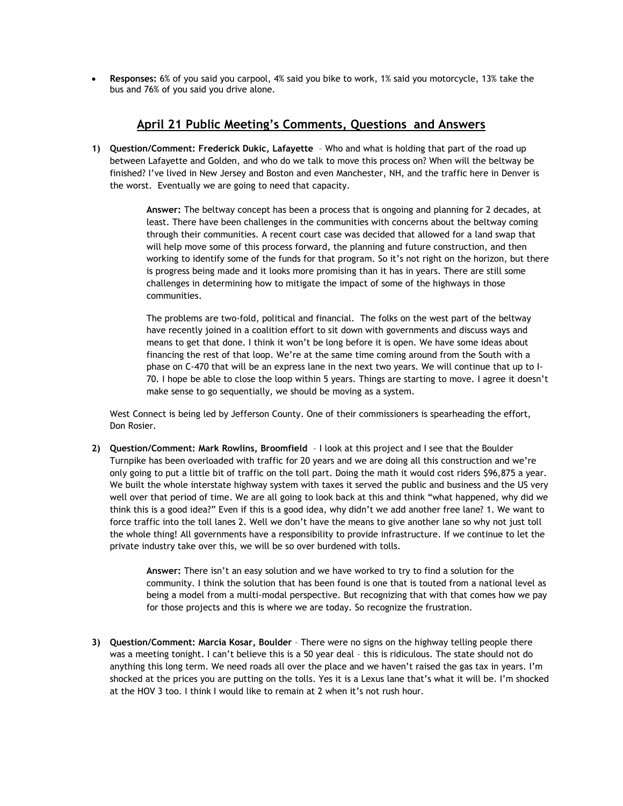**Responses:** 6% of you said you carpool, 4% said you bike to work, 1% said you motorcycle, 13% take the bus and 76% of you said you drive alone.

# **April 21 Public Meeting's Comments, Questions and Answers**

**1) Question/Comment: Frederick Dukic, Lafayette** – Who and what is holding that part of the road up between Lafayette and Golden, and who do we talk to move this process on? When will the beltway be finished? I've lived in New Jersey and Boston and even Manchester, NH, and the traffic here in Denver is the worst. Eventually we are going to need that capacity.

> **Answer:** The beltway concept has been a process that is ongoing and planning for 2 decades, at least. There have been challenges in the communities with concerns about the beltway coming through their communities. A recent court case was decided that allowed for a land swap that will help move some of this process forward, the planning and future construction, and then working to identify some of the funds for that program. So it's not right on the horizon, but there is progress being made and it looks more promising than it has in years. There are still some challenges in determining how to mitigate the impact of some of the highways in those communities.

> The problems are two-fold, political and financial. The folks on the west part of the beltway have recently joined in a coalition effort to sit down with governments and discuss ways and means to get that done. I think it won't be long before it is open. We have some ideas about financing the rest of that loop. We're at the same time coming around from the South with a phase on C-470 that will be an express lane in the next two years. We will continue that up to I-70. I hope be able to close the loop within 5 years. Things are starting to move. I agree it doesn't make sense to go sequentially, we should be moving as a system.

West Connect is being led by Jefferson County. One of their commissioners is spearheading the effort, Don Rosier.

**2) Question/Comment: Mark Rowlins, Broomfield** – I look at this project and I see that the Boulder Turnpike has been overloaded with traffic for 20 years and we are doing all this construction and we're only going to put a little bit of traffic on the toll part. Doing the math it would cost riders \$96,875 a year. We built the whole interstate highway system with taxes it served the public and business and the US very well over that period of time. We are all going to look back at this and think "what happened, why did we think this is a good idea?" Even if this is a good idea, why didn't we add another free lane? 1. We want to force traffic into the toll lanes 2. Well we don't have the means to give another lane so why not just toll the whole thing! All governments have a responsibility to provide infrastructure. If we continue to let the private industry take over this, we will be so over burdened with tolls.

> **Answer:** There isn't an easy solution and we have worked to try to find a solution for the community. I think the solution that has been found is one that is touted from a national level as being a model from a multi-modal perspective. But recognizing that with that comes how we pay for those projects and this is where we are today. So recognize the frustration.

**3) Question/Comment: Marcia Kosar, Boulder** – There were no signs on the highway telling people there was a meeting tonight. I can't believe this is a 50 year deal – this is ridiculous. The state should not do anything this long term. We need roads all over the place and we haven't raised the gas tax in years. I'm shocked at the prices you are putting on the tolls. Yes it is a Lexus lane that's what it will be. I'm shocked at the HOV 3 too. I think I would like to remain at 2 when it's not rush hour.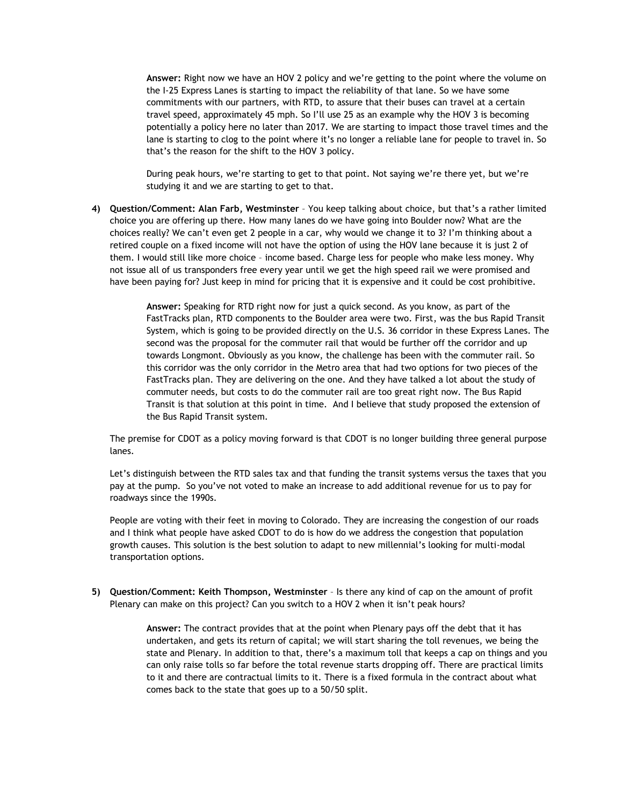**Answer:** Right now we have an HOV 2 policy and we're getting to the point where the volume on the I-25 Express Lanes is starting to impact the reliability of that lane. So we have some commitments with our partners, with RTD, to assure that their buses can travel at a certain travel speed, approximately 45 mph. So I'll use 25 as an example why the HOV 3 is becoming potentially a policy here no later than 2017. We are starting to impact those travel times and the lane is starting to clog to the point where it's no longer a reliable lane for people to travel in. So that's the reason for the shift to the HOV 3 policy.

During peak hours, we're starting to get to that point. Not saying we're there yet, but we're studying it and we are starting to get to that.

**4) Question/Comment: Alan Farb, Westminster** – You keep talking about choice, but that's a rather limited choice you are offering up there. How many lanes do we have going into Boulder now? What are the choices really? We can't even get 2 people in a car, why would we change it to 3? I'm thinking about a retired couple on a fixed income will not have the option of using the HOV lane because it is just 2 of them. I would still like more choice – income based. Charge less for people who make less money. Why not issue all of us transponders free every year until we get the high speed rail we were promised and have been paying for? Just keep in mind for pricing that it is expensive and it could be cost prohibitive.

> **Answer:** Speaking for RTD right now for just a quick second. As you know, as part of the FastTracks plan, RTD components to the Boulder area were two. First, was the bus Rapid Transit System, which is going to be provided directly on the U.S. 36 corridor in these Express Lanes. The second was the proposal for the commuter rail that would be further off the corridor and up towards Longmont. Obviously as you know, the challenge has been with the commuter rail. So this corridor was the only corridor in the Metro area that had two options for two pieces of the FastTracks plan. They are delivering on the one. And they have talked a lot about the study of commuter needs, but costs to do the commuter rail are too great right now. The Bus Rapid Transit is that solution at this point in time. And I believe that study proposed the extension of the Bus Rapid Transit system.

The premise for CDOT as a policy moving forward is that CDOT is no longer building three general purpose lanes.

Let's distinguish between the RTD sales tax and that funding the transit systems versus the taxes that you pay at the pump. So you've not voted to make an increase to add additional revenue for us to pay for roadways since the 1990s.

People are voting with their feet in moving to Colorado. They are increasing the congestion of our roads and I think what people have asked CDOT to do is how do we address the congestion that population growth causes. This solution is the best solution to adapt to new millennial's looking for multi-modal transportation options.

**5) Question/Comment: Keith Thompson, Westminster** – Is there any kind of cap on the amount of profit Plenary can make on this project? Can you switch to a HOV 2 when it isn't peak hours?

> **Answer:** The contract provides that at the point when Plenary pays off the debt that it has undertaken, and gets its return of capital; we will start sharing the toll revenues, we being the state and Plenary. In addition to that, there's a maximum toll that keeps a cap on things and you can only raise tolls so far before the total revenue starts dropping off. There are practical limits to it and there are contractual limits to it. There is a fixed formula in the contract about what comes back to the state that goes up to a 50/50 split.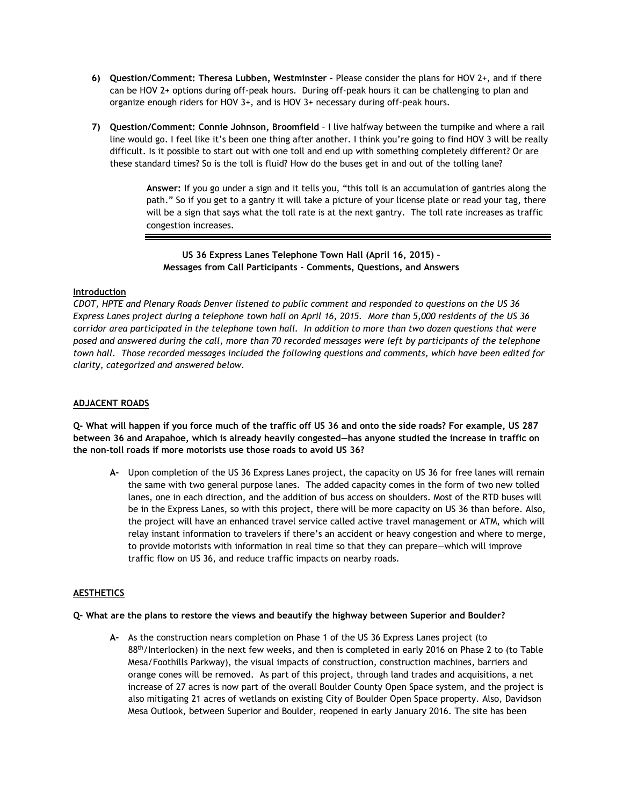- **6) Question/Comment: Theresa Lubben, Westminster –** Please consider the plans for HOV 2+, and if there can be HOV 2+ options during off-peak hours. During off-peak hours it can be challenging to plan and organize enough riders for HOV 3+, and is HOV 3+ necessary during off-peak hours.
- **7) Question/Comment: Connie Johnson, Broomfield** I live halfway between the turnpike and where a rail line would go. I feel like it's been one thing after another. I think you're going to find HOV 3 will be really difficult. Is it possible to start out with one toll and end up with something completely different? Or are these standard times? So is the toll is fluid? How do the buses get in and out of the tolling lane?

**Answer:** If you go under a sign and it tells you, "this toll is an accumulation of gantries along the path." So if you get to a gantry it will take a picture of your license plate or read your tag, there will be a sign that says what the toll rate is at the next gantry. The toll rate increases as traffic congestion increases.

**US 36 Express Lanes Telephone Town Hall (April 16, 2015) – Messages from Call Participants - Comments, Questions, and Answers**

# **Introduction**

*CDOT, HPTE and Plenary Roads Denver listened to public comment and responded to questions on the US 36 Express Lanes project during a telephone town hall on April 16, 2015. More than 5,000 residents of the US 36 corridor area participated in the telephone town hall. In addition to more than two dozen questions that were posed and answered during the call, more than 70 recorded messages were left by participants of the telephone town hall. Those recorded messages included the following questions and comments, which have been edited for clarity, categorized and answered below.* 

## **ADJACENT ROADS**

**Q- What will happen if you force much of the traffic off US 36 and onto the side roads? For example, US 287 between 36 and Arapahoe, which is already heavily congested—has anyone studied the increase in traffic on the non-toll roads if more motorists use those roads to avoid US 36?** 

**A-** Upon completion of the US 36 Express Lanes project, the capacity on US 36 for free lanes will remain the same with two general purpose lanes. The added capacity comes in the form of two new tolled lanes, one in each direction, and the addition of bus access on shoulders. Most of the RTD buses will be in the Express Lanes, so with this project, there will be more capacity on US 36 than before. Also, the project will have an enhanced travel service called active travel management or ATM, which will relay instant information to travelers if there's an accident or heavy congestion and where to merge, to provide motorists with information in real time so that they can prepare—which will improve traffic flow on US 36, and reduce traffic impacts on nearby roads.

# **AESTHETICS**

#### **Q- What are the plans to restore the views and beautify the highway between Superior and Boulder?**

**A-** As the construction nears completion on Phase 1 of the US 36 Express Lanes project (to 88th/Interlocken) in the next few weeks, and then is completed in early 2016 on Phase 2 to (to Table Mesa/Foothills Parkway), the visual impacts of construction, construction machines, barriers and orange cones will be removed. As part of this project, through land trades and acquisitions, a net increase of 27 acres is now part of the overall Boulder County Open Space system, and the project is also mitigating 21 acres of wetlands on existing City of Boulder Open Space property. Also, Davidson Mesa Outlook, between Superior and Boulder, reopened in early January 2016. The site has been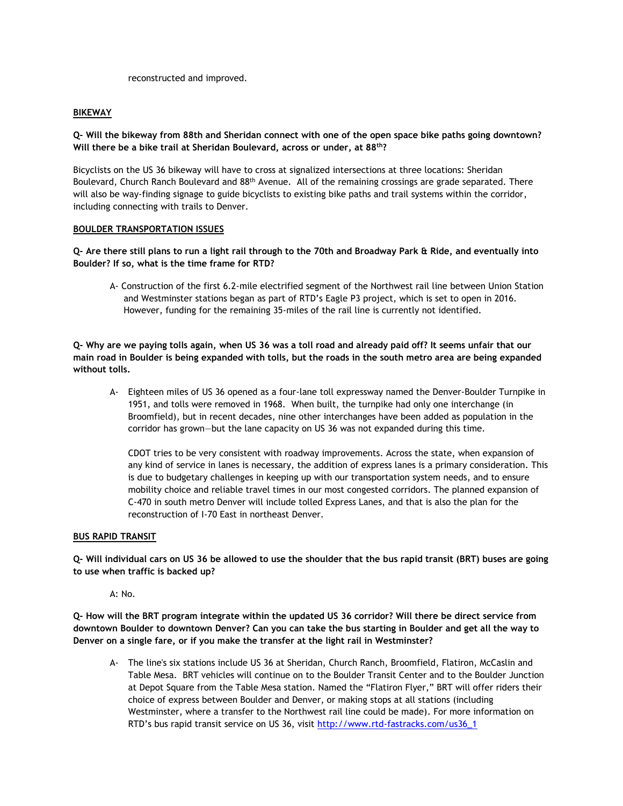reconstructed and improved.

### **BIKEWAY**

**Q- Will the bikeway from 88th and Sheridan connect with one of the open space bike paths going downtown? Will there be a bike trail at Sheridan Boulevard, across or under, at 88th?** 

Bicyclists on the US 36 bikeway will have to cross at signalized intersections at three locations: Sheridan Boulevard, Church Ranch Boulevard and 88<sup>th</sup> Avenue. All of the remaining crossings are grade separated. There will also be way-finding signage to guide bicyclists to existing bike paths and trail systems within the corridor, including connecting with trails to Denver.

#### **BOULDER TRANSPORTATION ISSUES**

**Q- Are there still plans to run a light rail through to the 70th and Broadway Park & Ride, and eventually into Boulder? If so, what is the time frame for RTD?** 

A- Construction of the first 6.2-mile electrified segment of the Northwest rail line between Union Station and Westminster stations began as part of RTD's Eagle P3 project, which is set to open in 2016. However, funding for the remaining 35-miles of the rail line is currently not identified.

**Q- Why are we paying tolls again, when US 36 was a toll road and already paid off? It seems unfair that our main road in Boulder is being expanded with tolls, but the roads in the south metro area are being expanded without tolls.** 

A- Eighteen miles of US 36 opened as a four-lane toll expressway named the Denver-Boulder Turnpike in 1951, and tolls were removed in 1968. When built, the turnpike had only one interchange (in Broomfield), but in recent decades, nine other interchanges have been added as population in the corridor has grown—but the lane capacity on US 36 was not expanded during this time.

CDOT tries to be very consistent with roadway improvements. Across the state, when expansion of any kind of service in lanes is necessary, the addition of express lanes is a primary consideration. This is due to budgetary challenges in keeping up with our transportation system needs, and to ensure mobility choice and reliable travel times in our most congested corridors. The planned expansion of C-470 in south metro Denver will include tolled Express Lanes, and that is also the plan for the reconstruction of I-70 East in northeast Denver.

#### **BUS RAPID TRANSIT**

**Q- Will individual cars on US 36 be allowed to use the shoulder that the bus rapid transit (BRT) buses are going to use when traffic is backed up?** 

A: No.

**Q- How will the BRT program integrate within the updated US 36 corridor? Will there be direct service from downtown Boulder to downtown Denver? Can you can take the bus starting in Boulder and get all the way to Denver on a single fare, or if you make the transfer at the light rail in Westminster?** 

A- The line's six stations include US 36 at Sheridan, Church Ranch, Broomfield, Flatiron, McCaslin and Table Mesa. BRT vehicles will continue on to the Boulder Transit Center and to the Boulder Junction at Depot Square from the Table Mesa station. Named the "Flatiron Flyer," BRT will offer riders their choice of express between Boulder and Denver, or making stops at all stations (including Westminster, where a transfer to the Northwest rail line could be made). For more information on RTD's bus rapid transit service on US 36, visit [http://www.rtd-fastracks.com/us36\\_1](http://www.rtd-fastracks.com/us36_1)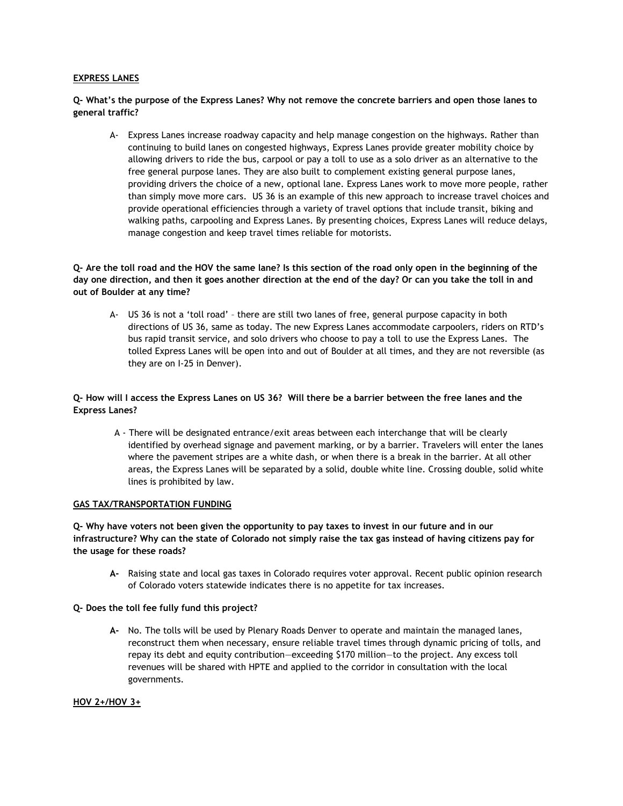#### **EXPRESS LANES**

**Q- What's the purpose of the Express Lanes? Why not remove the concrete barriers and open those lanes to general traffic?**

A- Express Lanes increase roadway capacity and help manage congestion on the highways. Rather than continuing to build lanes on congested highways, Express Lanes provide greater mobility choice by allowing drivers to ride the bus, carpool or pay a toll to use as a solo driver as an alternative to the free general purpose lanes. They are also built to complement existing general purpose lanes, providing drivers the choice of a new, optional lane. Express Lanes work to move more people, rather than simply move more cars. US 36 is an example of this new approach to increase travel choices and provide operational efficiencies through a variety of travel options that include transit, biking and walking paths, carpooling and Express Lanes. By presenting choices, Express Lanes will reduce delays, manage congestion and keep travel times reliable for motorists.

**Q- Are the toll road and the HOV the same lane? Is this section of the road only open in the beginning of the day one direction, and then it goes another direction at the end of the day? Or can you take the toll in and out of Boulder at any time?**

A- US 36 is not a 'toll road' – there are still two lanes of free, general purpose capacity in both directions of US 36, same as today. The new Express Lanes accommodate carpoolers, riders on RTD's bus rapid transit service, and solo drivers who choose to pay a toll to use the Express Lanes. The tolled Express Lanes will be open into and out of Boulder at all times, and they are not reversible (as they are on I-25 in Denver).

# **Q- How will I access the Express Lanes on US 36? Will there be a barrier between the free lanes and the Express Lanes?**

A - There will be designated entrance/exit areas between each interchange that will be clearly identified by overhead signage and pavement marking, or by a barrier. Travelers will enter the lanes where the pavement stripes are a white dash, or when there is a break in the barrier. At all other areas, the Express Lanes will be separated by a solid, double white line. Crossing double, solid white lines is prohibited by law.

### **GAS TAX/TRANSPORTATION FUNDING**

**Q- Why have voters not been given the opportunity to pay taxes to invest in our future and in our infrastructure? Why can the state of Colorado not simply raise the tax gas instead of having citizens pay for the usage for these roads?**

**A-** Raising state and local gas taxes in Colorado requires voter approval. Recent public opinion research of Colorado voters statewide indicates there is no appetite for tax increases.

#### **Q- Does the toll fee fully fund this project?**

**A-** No. The tolls will be used by Plenary Roads Denver to operate and maintain the managed lanes, reconstruct them when necessary, ensure reliable travel times through dynamic pricing of tolls, and repay its debt and equity contribution—exceeding \$170 million—to the project. Any excess toll revenues will be shared with HPTE and applied to the corridor in consultation with the local governments.

### **HOV 2+/HOV 3+**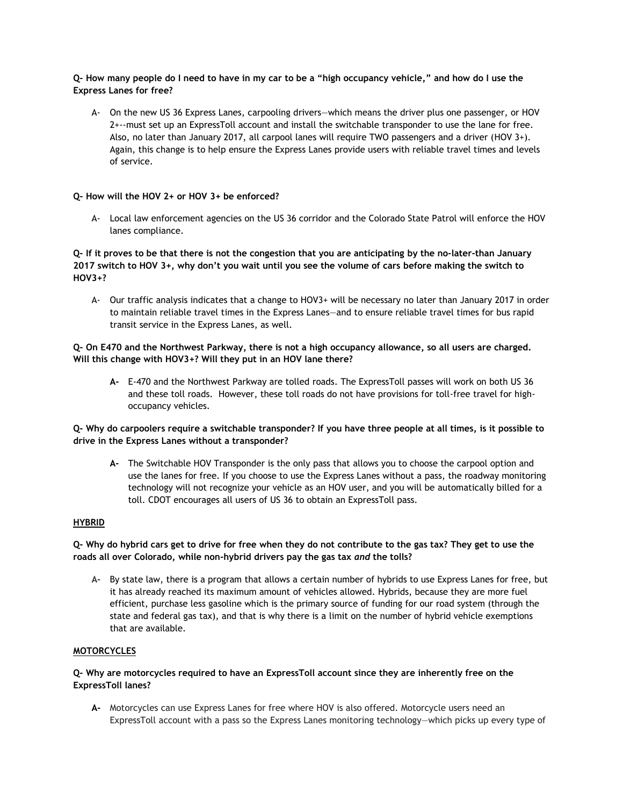# **Q- How many people do I need to have in my car to be a "high occupancy vehicle," and how do I use the Express Lanes for free?**

A- On the new US 36 Express Lanes, carpooling drivers—which means the driver plus one passenger, or HOV 2+--must set up an ExpressToll account and install the switchable transponder to use the lane for free. Also, no later than January 2017, all carpool lanes will require TWO passengers and a driver (HOV 3+). Again, this change is to help ensure the Express Lanes provide users with reliable travel times and levels of service.

# **Q- How will the HOV 2+ or HOV 3+ be enforced?**

A- Local law enforcement agencies on the US 36 corridor and the Colorado State Patrol will enforce the HOV lanes compliance.

# **Q- If it proves to be that there is not the congestion that you are anticipating by the no-later-than January 2017 switch to HOV 3+, why don't you wait until you see the volume of cars before making the switch to HOV3+?**

A- Our traffic analysis indicates that a change to HOV3+ will be necessary no later than January 2017 in order to maintain reliable travel times in the Express Lanes—and to ensure reliable travel times for bus rapid transit service in the Express Lanes, as well.

# **Q- On E470 and the Northwest Parkway, there is not a high occupancy allowance, so all users are charged. Will this change with HOV3+? Will they put in an HOV lane there?**

**A-** E-470 and the Northwest Parkway are tolled roads. The ExpressToll passes will work on both US 36 and these toll roads. However, these toll roads do not have provisions for toll-free travel for highoccupancy vehicles.

# **Q- Why do carpoolers require a switchable transponder? If you have three people at all times, is it possible to drive in the Express Lanes without a transponder?**

**A-** The Switchable HOV Transponder is the only pass that allows you to choose the carpool option and use the lanes for free. If you choose to use the Express Lanes without a pass, the roadway monitoring technology will not recognize your vehicle as an HOV user, and you will be automatically billed for a toll. CDOT encourages all users of US 36 to obtain an ExpressToll pass.

# **HYBRID**

# **Q- Why do hybrid cars get to drive for free when they do not contribute to the gas tax? They get to use the roads all over Colorado, while non-hybrid drivers pay the gas tax** *and* **the tolls?**

**A-** By state law, there is a program that allows a certain number of hybrids to use Express Lanes for free, but it has already reached its maximum amount of vehicles allowed. Hybrids, because they are more fuel efficient, purchase less gasoline which is the primary source of funding for our road system (through the state and federal gas tax), and that is why there is a limit on the number of hybrid vehicle exemptions that are available.

## **MOTORCYCLES**

### **Q- Why are motorcycles required to have an ExpressToll account since they are inherently free on the ExpressToll lanes?**

**A-** Motorcycles can use Express Lanes for free where HOV is also offered. Motorcycle users need an ExpressToll account with a pass so the Express Lanes monitoring technology—which picks up every type of